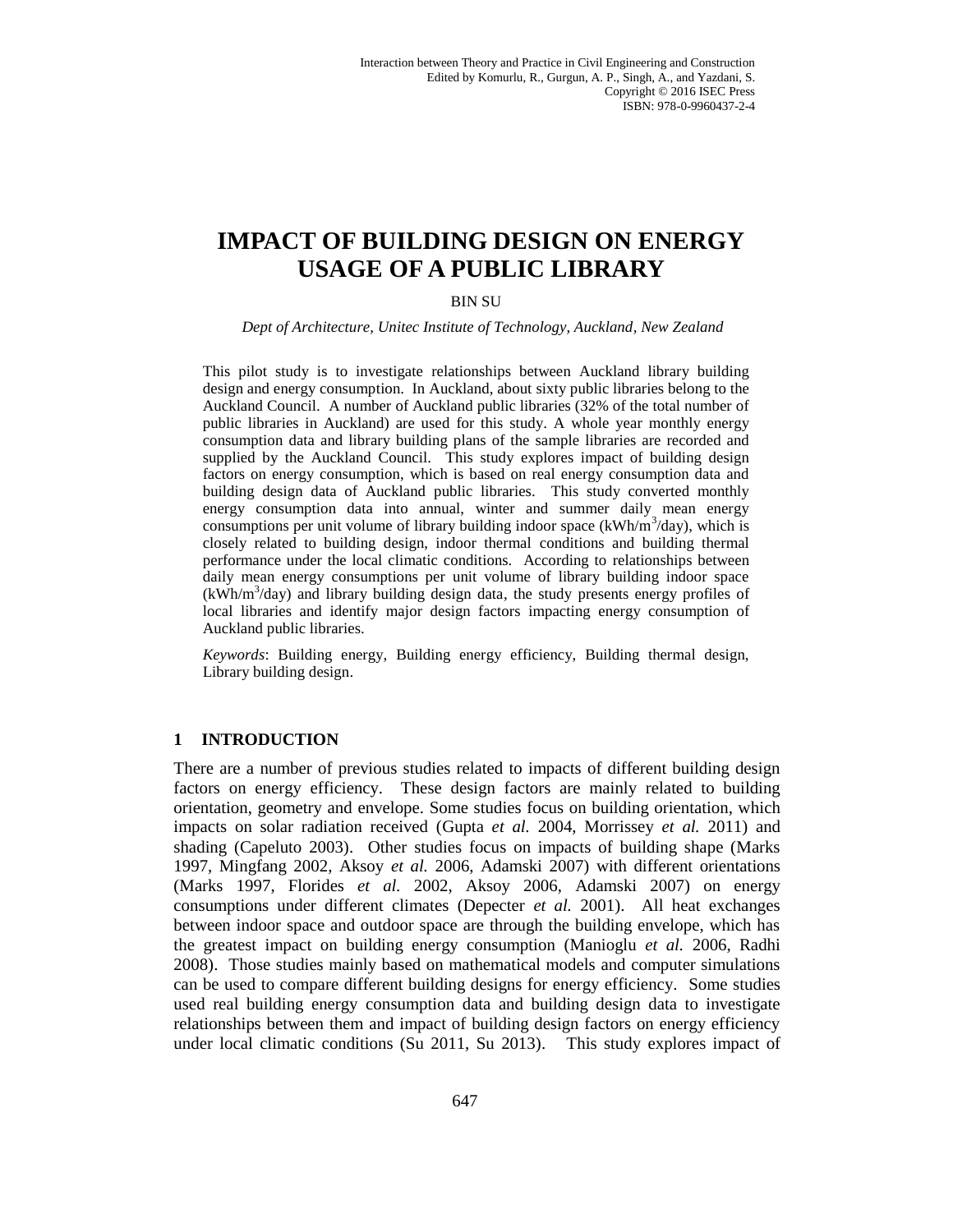# **IMPACT OF BUILDING DESIGN ON ENERGY USAGE OF A PUBLIC LIBRARY**

# BIN SU

*Dept of Architecture, Unitec Institute of Technology, Auckland, New Zealand*

This pilot study is to investigate relationships between Auckland library building design and energy consumption. In Auckland, about sixty public libraries belong to the Auckland Council. A number of Auckland public libraries (32% of the total number of public libraries in Auckland) are used for this study. A whole year monthly energy consumption data and library building plans of the sample libraries are recorded and supplied by the Auckland Council. This study explores impact of building design factors on energy consumption, which is based on real energy consumption data and building design data of Auckland public libraries. This study converted monthly energy consumption data into annual, winter and summer daily mean energy consumptions per unit volume of library building indoor space  $(kWh/m^3/day)$ , which is closely related to building design, indoor thermal conditions and building thermal performance under the local climatic conditions. According to relationships between daily mean energy consumptions per unit volume of library building indoor space  $(kWh/m<sup>3</sup>/day)$  and library building design data, the study presents energy profiles of local libraries and identify major design factors impacting energy consumption of Auckland public libraries.

*Keywords*: Building energy, Building energy efficiency, Building thermal design, Library building design.

## **1 INTRODUCTION**

There are a number of previous studies related to impacts of different building design factors on energy efficiency. These design factors are mainly related to building orientation, geometry and envelope. Some studies focus on building orientation, which impacts on solar radiation received (Gupta *et al.* 2004, Morrissey *et al.* 2011) and shading (Capeluto 2003). Other studies focus on impacts of building shape (Marks 1997, Mingfang 2002, Aksoy *et al.* 2006, Adamski 2007) with different orientations (Marks 1997, Florides *et al.* 2002, Aksoy 2006, Adamski 2007) on energy consumptions under different climates (Depecter *et al.* 2001). All heat exchanges between indoor space and outdoor space are through the building envelope, which has the greatest impact on building energy consumption (Manioglu *et al.* 2006, Radhi 2008). Those studies mainly based on mathematical models and computer simulations can be used to compare different building designs for energy efficiency. Some studies used real building energy consumption data and building design data to investigate relationships between them and impact of building design factors on energy efficiency under local climatic conditions (Su 2011, Su 2013). This study explores impact of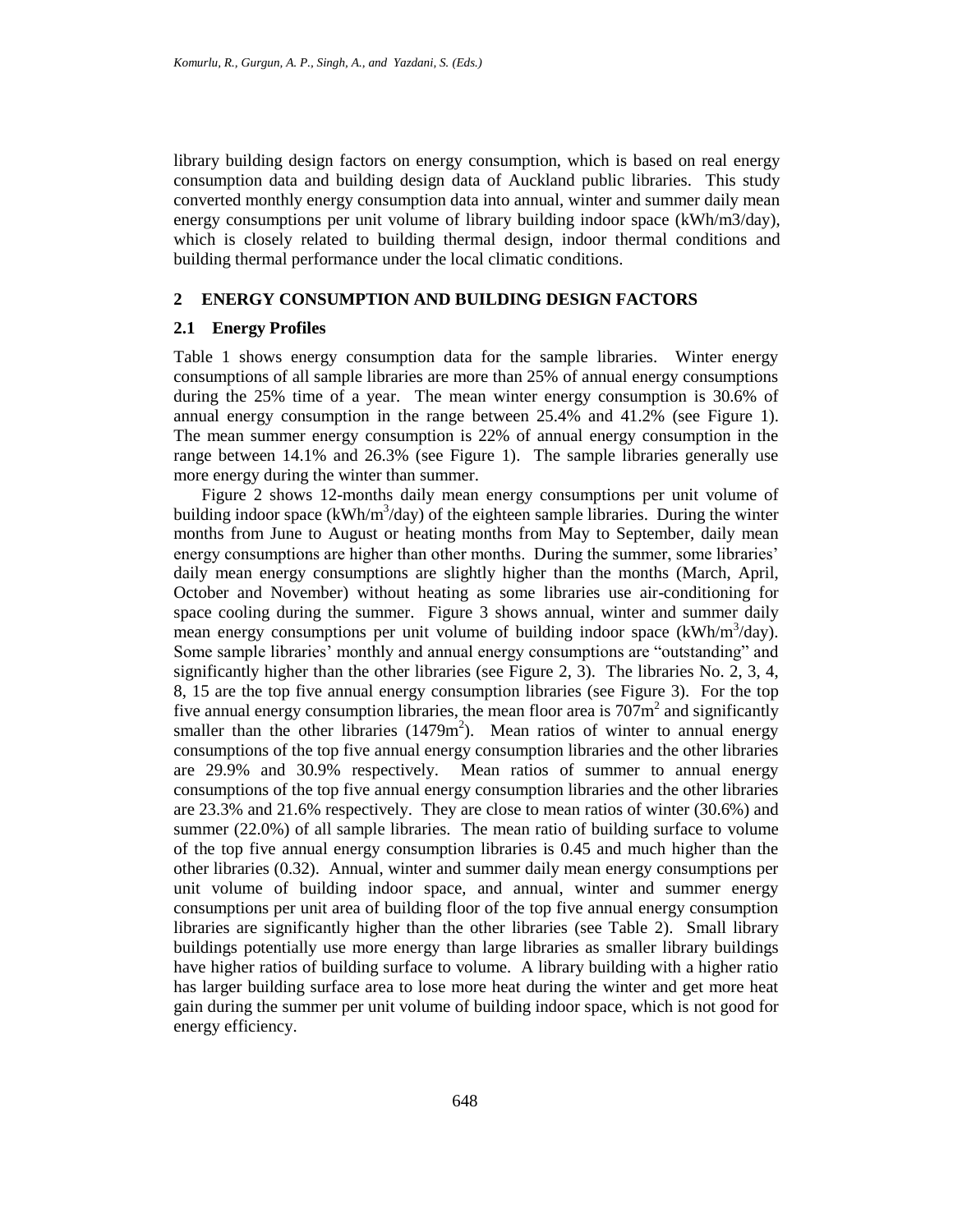library building design factors on energy consumption, which is based on real energy consumption data and building design data of Auckland public libraries. This study converted monthly energy consumption data into annual, winter and summer daily mean energy consumptions per unit volume of library building indoor space (kWh/m3/day), which is closely related to building thermal design, indoor thermal conditions and building thermal performance under the local climatic conditions.

## **2 ENERGY CONSUMPTION AND BUILDING DESIGN FACTORS**

#### **2.1 Energy Profiles**

Table 1 shows energy consumption data for the sample libraries. Winter energy consumptions of all sample libraries are more than 25% of annual energy consumptions during the 25% time of a year. The mean winter energy consumption is 30.6% of annual energy consumption in the range between 25.4% and 41.2% (see Figure 1). The mean summer energy consumption is 22% of annual energy consumption in the range between 14.1% and 26.3% (see Figure 1). The sample libraries generally use more energy during the winter than summer.

Figure 2 shows 12-months daily mean energy consumptions per unit volume of building indoor space  $(kWh/m^3/day)$  of the eighteen sample libraries. During the winter months from June to August or heating months from May to September, daily mean energy consumptions are higher than other months. During the summer, some libraries' daily mean energy consumptions are slightly higher than the months (March, April, October and November) without heating as some libraries use air-conditioning for space cooling during the summer. Figure 3 shows annual, winter and summer daily mean energy consumptions per unit volume of building indoor space  $(kWh/m^3/day)$ . Some sample libraries' monthly and annual energy consumptions are "outstanding" and significantly higher than the other libraries (see Figure 2, 3). The libraries No. 2, 3, 4, 8, 15 are the top five annual energy consumption libraries (see Figure 3). For the top five annual energy consumption libraries, the mean floor area is  $707\text{m}^2$  and significantly smaller than the other libraries  $(1479m^2)$ . Mean ratios of winter to annual energy consumptions of the top five annual energy consumption libraries and the other libraries are 29.9% and 30.9% respectively. Mean ratios of summer to annual energy consumptions of the top five annual energy consumption libraries and the other libraries are 23.3% and 21.6% respectively. They are close to mean ratios of winter (30.6%) and summer (22.0%) of all sample libraries. The mean ratio of building surface to volume of the top five annual energy consumption libraries is 0.45 and much higher than the other libraries (0.32). Annual, winter and summer daily mean energy consumptions per unit volume of building indoor space, and annual, winter and summer energy consumptions per unit area of building floor of the top five annual energy consumption libraries are significantly higher than the other libraries (see Table 2). Small library buildings potentially use more energy than large libraries as smaller library buildings have higher ratios of building surface to volume. A library building with a higher ratio has larger building surface area to lose more heat during the winter and get more heat gain during the summer per unit volume of building indoor space, which is not good for energy efficiency.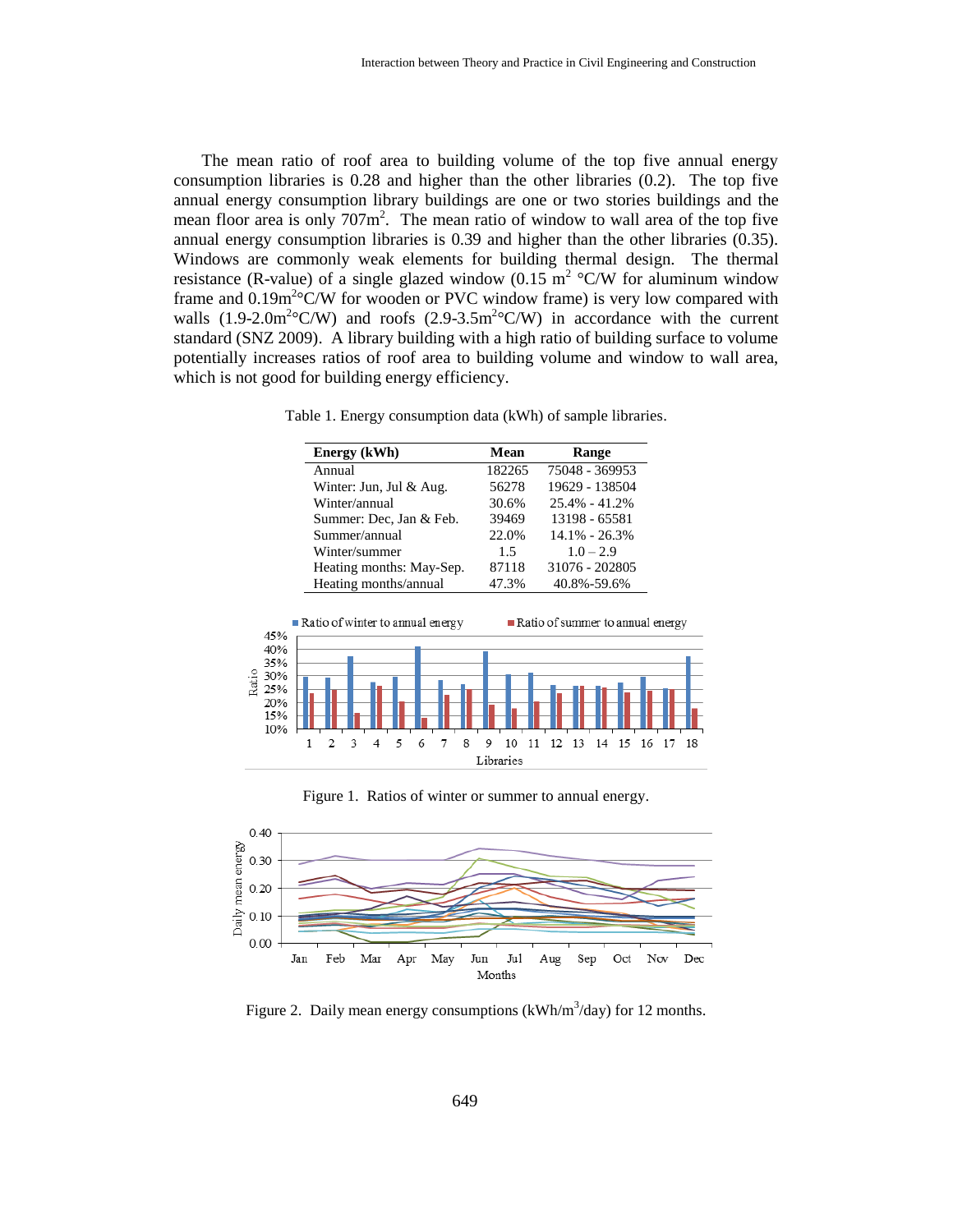The mean ratio of roof area to building volume of the top five annual energy consumption libraries is 0.28 and higher than the other libraries (0.2). The top five annual energy consumption library buildings are one or two stories buildings and the mean floor area is only  $707m^2$ . The mean ratio of window to wall area of the top five annual energy consumption libraries is 0.39 and higher than the other libraries (0.35). Windows are commonly weak elements for building thermal design. The thermal resistance (R-value) of a single glazed window (0.15  $\text{m}^2$  °C/W for aluminum window frame and  $0.19m^2$ °C/W for wooden or PVC window frame) is very low compared with walls  $(1.9\n-2.0m<sup>2</sup>°C/W)$  and roofs  $(2.9\n-3.5m<sup>2</sup>°C/W)$  in accordance with the current standard (SNZ 2009). A library building with a high ratio of building surface to volume potentially increases ratios of roof area to building volume and window to wall area, which is not good for building energy efficiency.



| Energy (kWh)             | Mean   | Range             |  |
|--------------------------|--------|-------------------|--|
| Annual                   | 182265 | 75048 - 369953    |  |
| Winter: Jun, Jul & Aug.  | 56278  | 19629 - 138504    |  |
| Winter/annual            | 30.6%  | 25.4% - 41.2%     |  |
| Summer: Dec, Jan & Feb.  | 39469  | 13198 - 65581     |  |
| Summer/annual            | 22.0%  | $14.1\% - 26.3\%$ |  |
| Winter/summer            | 1.5    | $1.0 - 2.9$       |  |
| Heating months: May-Sep. | 87118  | 31076 - 202805    |  |
| Heating months/annual    | 47.3%  | 40.8%-59.6%       |  |







Figure 2. Daily mean energy consumptions ( $kWh/m^3$ /day) for 12 months.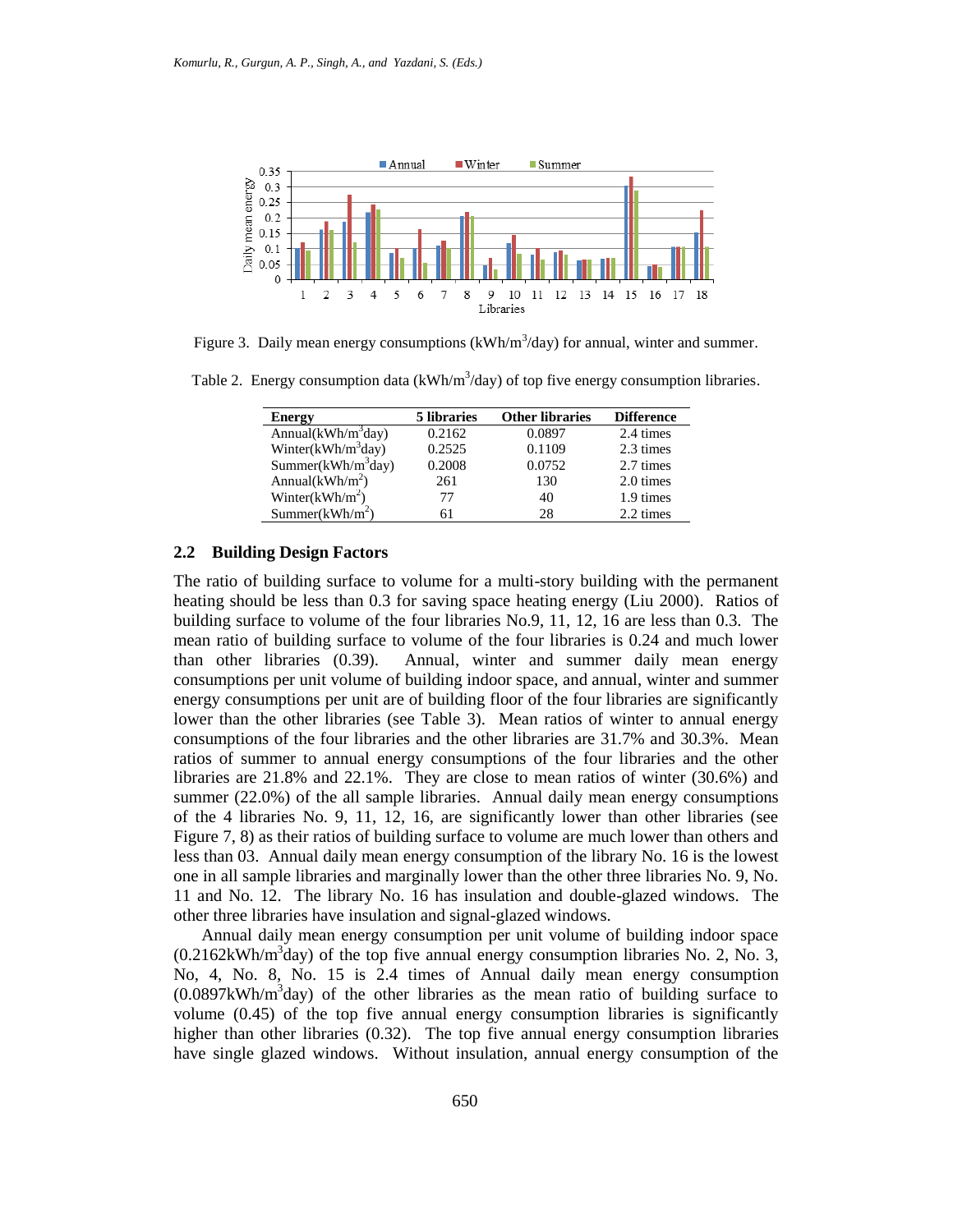

Figure 3. Daily mean energy consumptions ( $kWh/m<sup>3</sup>/day$ ) for annual, winter and summer.

Table 2. Energy consumption data ( $kWh/m<sup>3</sup>/day$ ) of top five energy consumption libraries.

| <b>Energy</b>          | 5 libraries | <b>Other libraries</b> | <b>Difference</b> |
|------------------------|-------------|------------------------|-------------------|
| Annual( $kWh/m^3$ day) | 0.2162      | 0.0897                 | 2.4 times         |
| Winter( $kWh/m^3day$ ) | 0.2525      | 0.1109                 | 2.3 times         |
| Summer $(kWh/m^3day)$  | 0.2008      | 0.0752                 | 2.7 times         |
| Annual( $kWh/m^2$ )    | 261         | 130                    | 2.0 times         |
| Winter( $kWh/m^2$ )    | 77          | 40                     | 1.9 times         |
| Summer $(kWh/m^2)$     | 61          | 28                     | 2.2 times         |

### **2.2 Building Design Factors**

The ratio of building surface to volume for a multi-story building with the permanent heating should be less than 0.3 for saving space heating energy (Liu 2000). Ratios of building surface to volume of the four libraries No.9, 11, 12, 16 are less than 0.3. The mean ratio of building surface to volume of the four libraries is 0.24 and much lower than other libraries (0.39). Annual, winter and summer daily mean energy consumptions per unit volume of building indoor space, and annual, winter and summer energy consumptions per unit are of building floor of the four libraries are significantly lower than the other libraries (see Table 3). Mean ratios of winter to annual energy consumptions of the four libraries and the other libraries are 31.7% and 30.3%. Mean ratios of summer to annual energy consumptions of the four libraries and the other libraries are 21.8% and 22.1%. They are close to mean ratios of winter (30.6%) and summer (22.0%) of the all sample libraries. Annual daily mean energy consumptions of the 4 libraries No. 9, 11, 12, 16, are significantly lower than other libraries (see Figure 7, 8) as their ratios of building surface to volume are much lower than others and less than 03. Annual daily mean energy consumption of the library No. 16 is the lowest one in all sample libraries and marginally lower than the other three libraries No. 9, No. 11 and No. 12. The library No. 16 has insulation and double-glazed windows. The other three libraries have insulation and signal-glazed windows.

Annual daily mean energy consumption per unit volume of building indoor space  $(0.2162kWh/m<sup>3</sup>day)$  of the top five annual energy consumption libraries No. 2, No. 3, No, 4, No. 8, No. 15 is 2.4 times of Annual daily mean energy consumption  $(0.0897kWh/m<sup>3</sup>day)$  of the other libraries as the mean ratio of building surface to volume (0.45) of the top five annual energy consumption libraries is significantly higher than other libraries (0.32). The top five annual energy consumption libraries have single glazed windows. Without insulation, annual energy consumption of the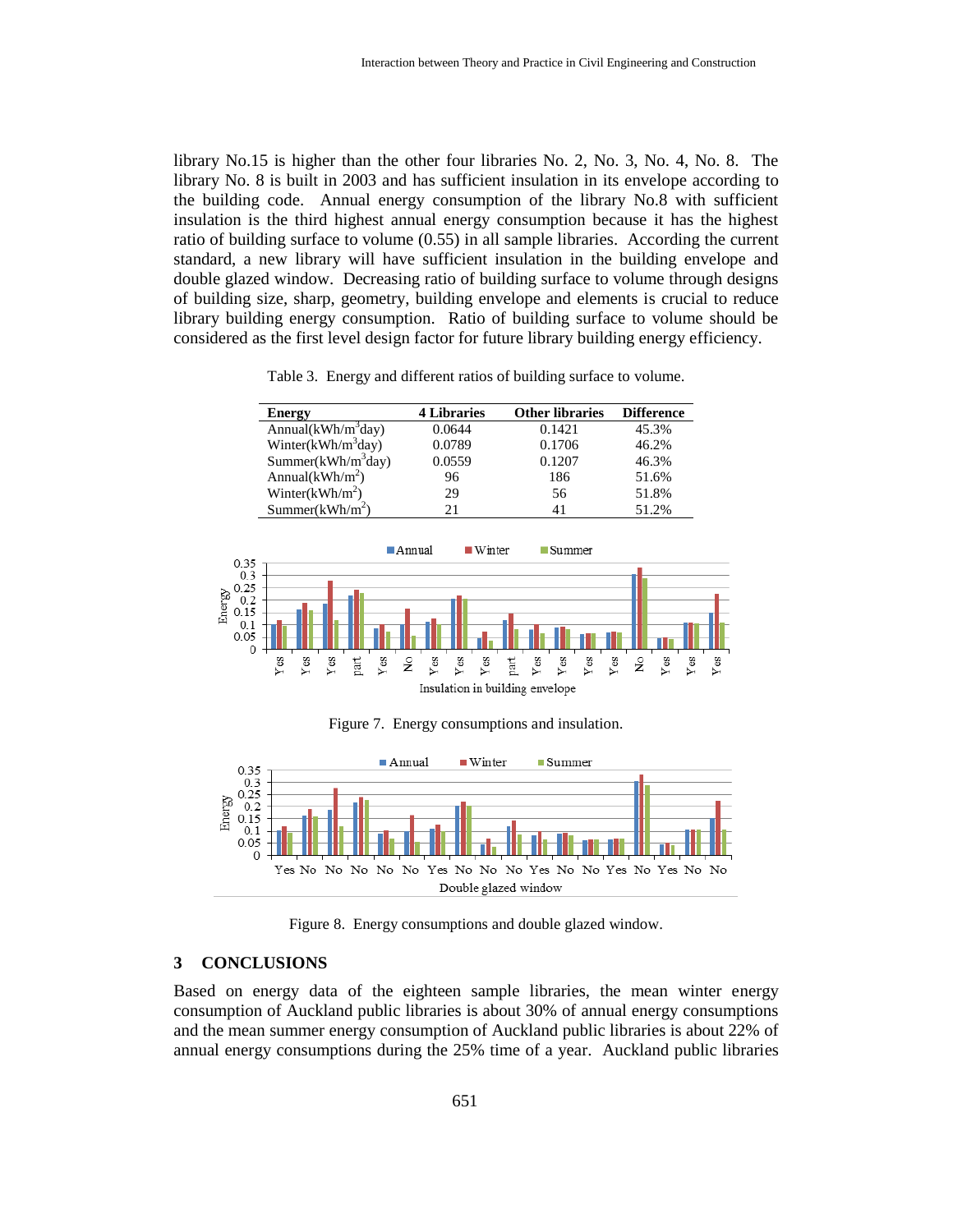library No.15 is higher than the other four libraries No. 2, No. 3, No. 4, No. 8. The library No. 8 is built in 2003 and has sufficient insulation in its envelope according to the building code. Annual energy consumption of the library No.8 with sufficient insulation is the third highest annual energy consumption because it has the highest ratio of building surface to volume (0.55) in all sample libraries. According the current standard, a new library will have sufficient insulation in the building envelope and double glazed window. Decreasing ratio of building surface to volume through designs of building size, sharp, geometry, building envelope and elements is crucial to reduce library building energy consumption. Ratio of building surface to volume should be considered as the first level design factor for future library building energy efficiency.

| <b>Energy</b>               | <b>4 Libraries</b> | <b>Other libraries</b> | <b>Difference</b> |
|-----------------------------|--------------------|------------------------|-------------------|
| Annual $(kWh/m^3day)$       | 0.0644             | 0.1421                 | 45.3%             |
| Winter( $kWh/m^3day$ )      | 0.0789             | 0.1706                 | 46.2%             |
| Summer $(kWh/m^3day)$       | 0.0559             | 0.1207                 | 46.3%             |
| Annual( $kWh/m^2$ )         | 96                 | 186                    | 51.6%             |
| Winter( $kWh/m^2$ )         | 29                 | 56                     | 51.8%             |
| Summer(kWh/m <sup>2</sup> ) | 21                 |                        | 51.2%             |



Figure 7. Energy consumptions and insulation.



Figure 8. Energy consumptions and double glazed window.

## **3 CONCLUSIONS**

Based on energy data of the eighteen sample libraries, the mean winter energy consumption of Auckland public libraries is about 30% of annual energy consumptions and the mean summer energy consumption of Auckland public libraries is about 22% of annual energy consumptions during the 25% time of a year. Auckland public libraries